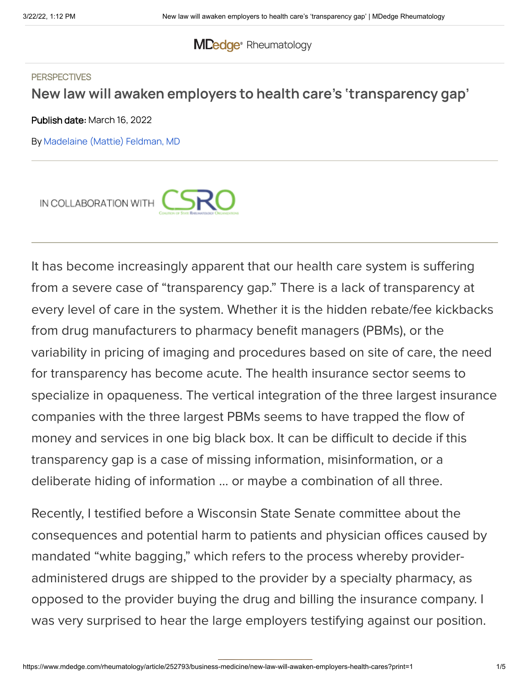## **MDedge**® [Rheumatology](https://www.mdedge.com/rheumatology)

#### **PERSPECTIVES**

## **New law will awaken employers to health care's 'transparency gap'**

Publish date: March 16, 2022

By [Madelaine](https://www.mdedge.com/authors/madelaine-mattie-feldman-md) (Mattie) Feldman, MD



It has become increasingly apparent that our health care system is suffering from a severe case of "transparency gap." There is a lack of transparency at every level of care in the system. Whether it is the hidden rebate/fee kickbacks from drug manufacturers to pharmacy benefit managers (PBMs), or the variability in pricing of imaging and procedures based on site of care, the need for transparency has become acute. The health insurance sector seems to specialize in opaqueness. The vertical integration of the three largest insurance companies with the three largest PBMs seems to have trapped the flow of money and services in one big black box. It can be difficult to decide if this transparency gap is a case of missing information, misinformation, or a deliberate hiding of information … or maybe a combination of all three.

Recently, I testified before a Wisconsin State Senate committee about the consequences and potential harm to patients and physician offices caused by mandated "white bagging," which refers to the process whereby provideradministered drugs are shipped to the provider by a specialty pharmacy, as opposed to the provider buying the drug and billing the insurance company. I was very surprised to hear the large employers testifying against our position.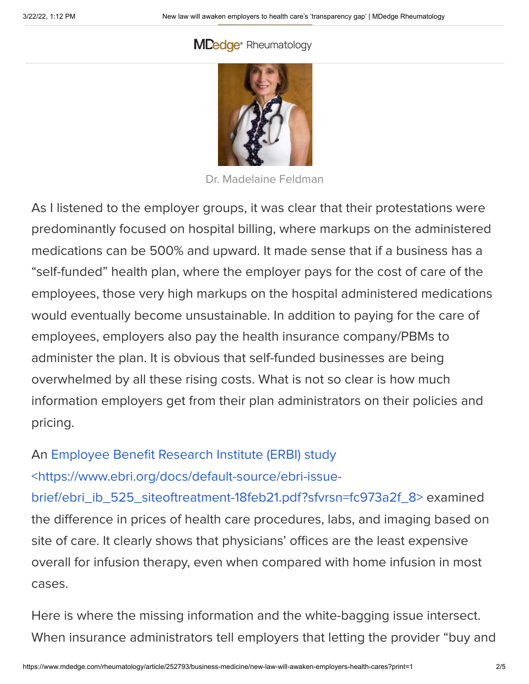## **MDedge**® [Rheumatology](https://cdn.mdedge.com/files/s3fs-public/Feldman_Madelaine_LA_web_0_0.jpg)



Dr. Madelaine Feldman

As I listened to the employer groups, it was clear that their protestations were predominantly focused on hospital billing, where markups on the administered medications can be 500% and upward. It made sense that if a business has a "self-funded" health plan, where the employer pays for the cost of care of the employees, those very high markups on the hospital administered medications would eventually become unsustainable. In addition to paying for the care of employees, employers also pay the health insurance company/PBMs to administer the plan. It is obvious that self-funded businesses are being overwhelmed by all these rising costs. What is not so clear is how much information employers get from their plan administrators on their policies and pricing.

An Employee Benefit Research Institute (ERBI) study <https://www.ebri.org/docs/default-source/ebri-issue-

[brief/ebri\\_ib\\_525\\_siteoftreatment-18feb21.pdf?sfvrsn=fc973a2f\\_8>](https://www.ebri.org/docs/default-source/ebri-issue-brief/ebri_ib_525_siteoftreatment-18feb21.pdf?sfvrsn=fc973a2f_8) examined the difference in prices of health care procedures, labs, and imaging based on site of care. It clearly shows that physicians' offices are the least expensive overall for infusion therapy, even when compared with home infusion in most

# cases.

Here is where the missing information and the white-bagging issue intersect. When insurance administrators tell employers that letting the provider "buy and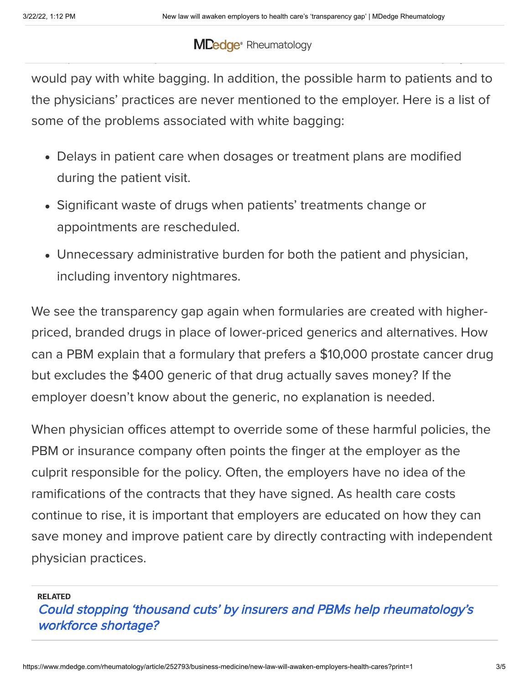### bill" costs an outrageous amount, they fail to tell the employers that physicians' office prices are comparable, or, in some cases, less than what the employer **MDedge** [Rheumatology](https://www.mdedge.com/rheumatology)

would pay with white bagging. In addition, the possible harm to patients and to the physicians' practices are never mentioned to the employer. Here is a list of some of the problems associated with white bagging:

- Delays in patient care when dosages or treatment plans are modified during the patient visit.
- Significant waste of drugs when patients' treatments change or appointments are rescheduled.
- Unnecessary administrative burden for both the patient and physician, including inventory nightmares.

We see the transparency gap again when formularies are created with higherpriced, branded drugs in place of lower-priced generics and alternatives. How can a PBM explain that a formulary that prefers a \$10,000 prostate cancer drug but excludes the \$400 generic of that drug actually saves money? If the employer doesn't know about the generic, no explanation is needed.

When physician offices attempt to override some of these harmful policies, the PBM or insurance company often points the finger at the employer as the culprit responsible for the policy. Often, the employers have no idea of the ramifications of the contracts that they have signed. As health care costs continue to rise, it is important that employers are educated on how they can save money and improve patient care by directly contracting with independent physician practices.

RELATED

Could stopping 'thousand cuts' by insurers and PBMs help [rheumatology's](https://www.mdedge.com/rheumatology/article/250905/business-medicine/could-stopping-thousand-cuts-insurers-and-pbms-help) workforce shortage?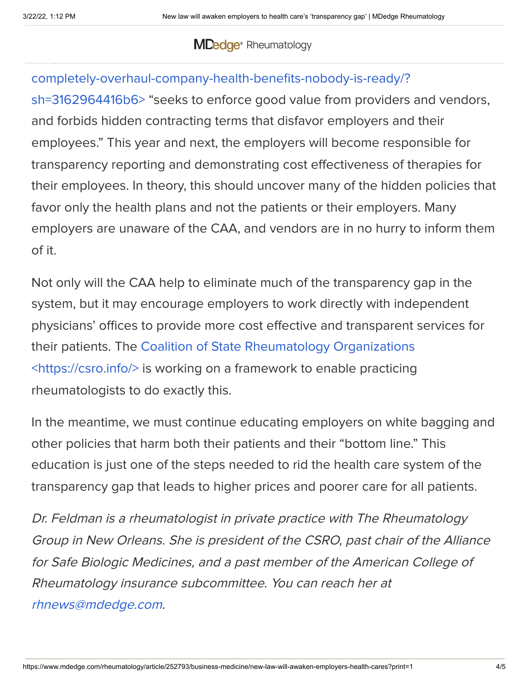### $\blacksquare$  $\frac{1}{\sqrt{2}}$  . The sites of the sites of the sites of the sites of the sites of the sites of the sites of the sites of the sites of the sites of the sites of the sites of the sites of the sites of the sites of the sites o [Rheumatology](https://www.mdedge.com/rheumatology)

## completely-overhaul-company-health-benefits-nobody-is-ready/?

sh=3162964416b6> "seeks to enforce good value from providers and vendors, and forbids hidden contracting terms that disfavor employers and their employees." This year and next, the employers will become responsible for transparency reporting and demonstrating cost effectiveness of therapies for their employees. In theory, this should uncover many of the hidden policies that favor only the health plans and not the patients or their employers. Many employers are unaware of the CAA, and vendors are in no hurry to inform them of it.

Not only will the CAA help to eliminate much of the transparency gap in the system, but it may encourage employers to work directly with independent physicians' offices to provide more cost effective and transparent services for their patients. The Coalition of State Rheumatology Organizations [<https://csro.info/>](https://csro.info/) is working on a framework to enable practicing rheumatologists to do exactly this.

In the meantime, we must continue educating employers on white bagging and other policies that harm both their patients and their "bottom line." This education is just one of the steps needed to rid the health care system of the transparency gap that leads to higher prices and poorer care for all patients.

Dr. Feldman is <sup>a</sup> rheumatologist in private practice with The Rheumatology Group in New Orleans. She is president of the CSRO, past chair of the Alliance for Safe Biologic Medicines, and <sup>a</sup> past member of the American College of Rheumatology insurance subcommittee. You can reach her at [rhnews@mdedge.com](mailto:rhnews%40mdedge.com?subject=).